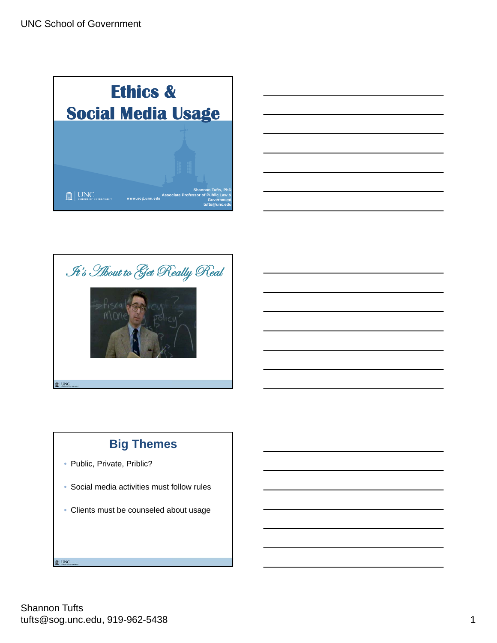





# **Big Themes**

- · Public, Private, Priblic?
- Social media activities must follow rules
- Clients must be counseled about usage

I UNC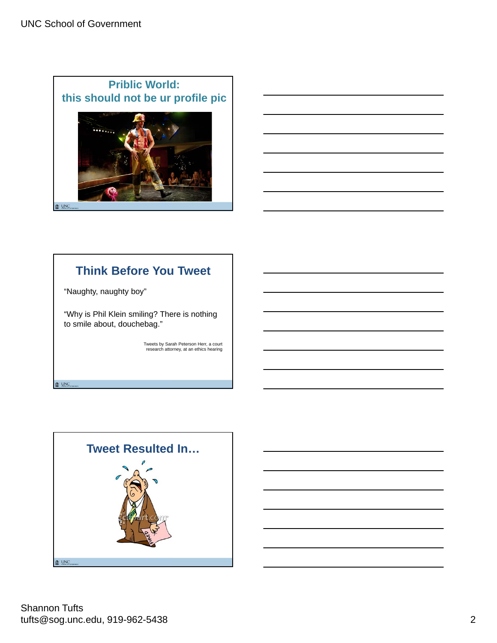



# **Think Before You Tweet**

"Naughty, naughty boy"

 $\blacksquare$  UNC

"Why is Phil Klein smiling? There is nothing to smile about, douchebag."

Tweets by Sarah Peterson Herr, a court research attorney, at an ethics hearing

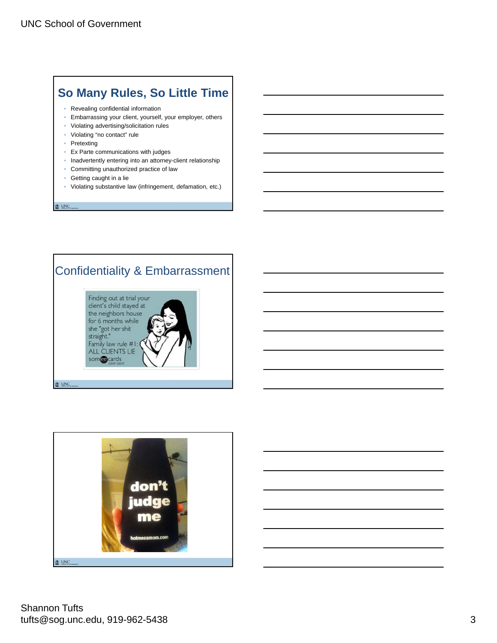### **So Many Rules, So Little Time**

- Revealing confidential information
- Embarrassing your client, yourself, your employer, others
- Violating advertising/solicitation rules
- Violating "no contact" rule
- Pretexting
- Ex Parte communications with judges
- Inadvertently entering into an attorney-client relationship
- Committing unauthorized practice of law
- Getting caught in a lie
- Violating substantive law (infringement, defamation, etc.)

 $\mathbf{I}$  UNC

### Confidentiality & Embarrassment



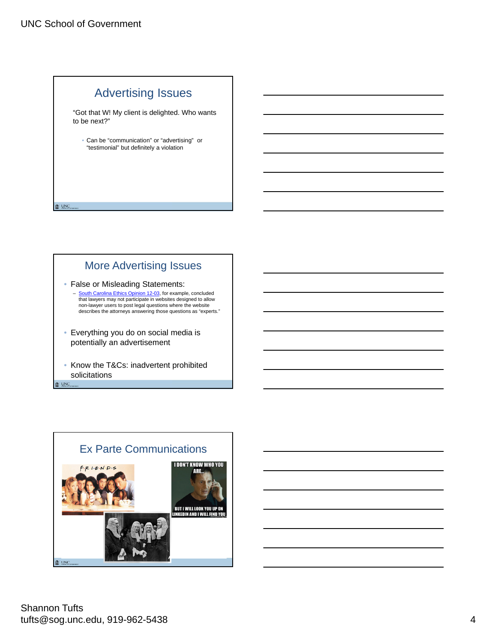$\mathbf{R}$  UNC



"Got that W! My client is delighted. Who wants to be next?"

• Can be "communication" or "advertising" or "testimonial" but definitely a violation

#### More Advertising Issues

- False or Misleading Statements: South Carolina Ethics Opinion 12-03, for example, concluded that lawyers may not participate in websites designed to allow non-lawyer users to post legal questions where the website describes the attorneys answering those questions as "experts."
- Everything you do on social media is potentially an advertisement
- Know the T&Cs: inadvertent prohibited solicitations  $\mathbf{R}$  UNC